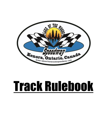

# Track Rulebook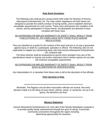# **Rule Book Disclaimer**

The following rules shall govern racing events held under the direction of Kenora Motorsports Entertainment Ltd. The rules and/or regulations set forth herein are designed to provide the orderly conduct of racing events, and to establish minimum acceptable requirements for such events. These rules shall govern the condition of all events, and by participation in these events, all participants are deemed to have complied with these rules.

## NO EXPRESSED OR IMPLIED WARRANTY OF SAFETY SHALL RESULT FROM PUBLICATIONS OF, OR COMPLIANCE WITH THESE RULES AND/OR REGULATIONS.

They are intended as a guide for the conduct of the sport and are in no way a guarantee against injury or death to a participant, spectator or official. The following rules do not supersede or negate any sanctioning body rules that Kenora Motorsports Entertainment Ltd. contracts with.

The Race Director shall be empowered to permit minor deviation from any of the specifications herein or impose any further restrictions that in his/her opinion do not alter the minimum acceptable requirements.

# NO EXPRESSED OR IMPLIED WARRANTY OF SAFETY SHALL RESULT FROM SUCH ALTERATIONS OF SPECIFICATIONS.

Any interpretation of, or deviation from these rules is left to the discretion of the officials.

# **Their decision is final.**

### \*\*\*\*\*\*\*\*\*\*\*\*\*\*\*\*\*\*\*\*\*\*\*\*\*\*\*\*\*\*\*\*\*\*\*\*\*\*\*\*\*\*\*\*\*\*\*\*\*\*\*\*\*\*\*\*\*\*\*\*\*\*\*\*\*\*\*\*\*\*\*\*

Reminder: The flagman and all other Association officials are neutral. Not every decision made is to the liking of every driver, pitman, owner, or racing fan, but as in all sports, the decisions are final.

\*\*\*\*\*\*\*\*\*\*\*\*\*\*\*\*\*\*\*\*\*\*\*\*\*\*\*\*\*\*\*\*\*\*\*\*\*\*\*\*\*\*\*\*\*\*\*\*\*\*\*\*\*\*\*\*\*\*\*\*\*\*\*\*\*\*\*\*\*\*\*\*

## **Mission Statement**

Kenora Motorsports Entertainment Ltd. and Lake of the Woods Speedway's purpose is to provide quality family entertainment through the sport of racing. It promotes community connections throughout the region including advertising opportunities for business.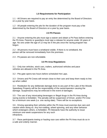# **1.0 Requirements for Participation**

1.1 - All Drivers are required to pay an entry fee determined by the Board of Directors on a year by year basis.

1.2 - All people entering the pits for the duration of the program must pay a fee determined by the Board of Directors on a year by year basis.

# **2.0 Pit Passes**

2.1 - Anyone entering the pits must sign a waiver and obtain a Pit Pass before entering the Pit Area. Parents or guardians must sign a release for anyone under 18 years of age. No one under the age of 12 may be in the pits once the racing program has begun.

2.2 - All persons must have a wristband visible. If there is no wristband, the person will be removed immediately from the premises.

2.3 - Pit passes are non-refundable.

# **3.0 Pit Area Regulations**

3.1 - Only tow vehicles, stock cars, trailers, authorized vehicles and pace vehicles are allowed in the Pit Area.

3.2 - Pits gate opens two hours before scheduled Hot Laps.

3.3 - Drivers and Pit Crews will remain close to their cars and keep them ready to line up when called.

3.4 - Restitution for any deliberate damage done to any part of the Lake of the Woods Speedway Property will be the responsibility of the owner/operator causing the damage. Suspensions may be enforced in the event of damages.

3.5 - The use of any intoxicating beverages or illegal drugs in the Pit Area during racing events is forbidden. The penalty will be suspension of Driver, and/or Pit Crew for a minimum one week (i.e. one racing date). There will be no exceptions.

3.6 - Driving operating their vehicles within the Pit Area must exercise due care and caution when doing so. Any hot-rodding, wheel spinning, and any other behavior which endangers others, is forbidden. Pit Stewards have the authority to issue minimum one-week suspensions for any such infractions.

3.7 - Race participants towing or hauling race cars within the Pit Area must do so in a safe and orderly manner.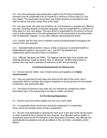3.8 - Any race participant who perpetrates a fight in the Pit Area or Racetrack premises may be suspended from all events for a minimum of thirty days (i.e. four race dates). The associated racing team may forfeit all points accumulated to that date as well as any prize money won at the event.

3.9 - Any race driver who gets out of his/her car, and threatens or assaults any official in any way, including abusive or improper language, may be suspended for a minimum of thirty days (i.e. four race dates). The race driver is responsible for the actions of the pit crew in every aspect and is the sole spokesman for the racing team in any discussion with Pit Stewards, Flagmen, or any other Officials representing the Board.

3.10 - Drivers and Pit Crew are to maintain a level of professionalism throughout the course of the race program.

3.11 - Volunteer/Staff protection: Abuse, verbal, or physical, to volunteers/staff (i.e. pit/grandstand cashiers, lap counters, etc.), will NOT be tolerated and suspensions will be incurred if there is a problem.

3.12 - Officials' decisions are FINAL. The flagman has the right not to answer any irrational behaviour made by drivers, fans, or otherwise. He/She shall answer to anyone who may have a question of relevance at the next pit meeting.

## **4.0 General Requirements for Racing Cars**

4.1 - All cars must be visible. Use of bright colours and graphics are **highly recommended**

4.2 - Cars are expected to look clean and sporty at the start of the event, and a reasonable effort to maintain this image is expected of all racing teams for the benefit of sponsors, and racing fans alike.

4.3 - The Board of Directors may order any car checked for compliances within prescribed rules, if the request does not have a conflict of interest.

## **5.0 Pre-Racing Regulations**

5.1 - Drivers may drive and/or qualify only one car in each class.

5.2 - A suspended driver cannot race during the suspension. A suspended driver cannot accumulate points during a suspension.

5.3 - All cars must participate in packing the track prior to the start of the racing events, or when required to do so during the race program. Any offenders will be subject to disciplinary action by the Pit Stewards or the Association Executive. Any offender will automatically be penalized and will go tailback in the next heat, consolation and/or feature.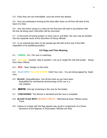5.4 - Entry fees are non-refundable, once the event has started.

5.5 - Any race participant arriving at the track after draw cut off time will start at the back of a heat.

5.6 - Any new driver racing in a class for the first time will start in accordance with the line up being used. Discretion will be exercised.

5.7 - In the event of having sixteen or more cars in a B-Main, the race may be divided into two separate races at the discretion of lineup officials.

5.8 - A car entering the track on the parade lap will start at the rear of the field regardless of its qualifying position.

# **6.0 Flags and Their Meaning**

6.1 - **GREEN** - Go. The race is underway.

6.2 - **YELLOW** - Caution. Stay in position. Line up in single file until told proper lineup from Race Official

6.3 - **RED** - Stop. Danger on the track.

6.4 - **BLUE WITH YELLOW STRIPE**- Hold Your Line - You are being lapped by faster cars.

- 6.5 **BLACK** Disqualification. Get off the track as you have been disqualified for mechanical shortcomings of the car or a rule violation.
- 6.6 WHITE- One lap remaining in the race for the leader.
- 6.7 **CHECKERED** The Winner is declared and the race is complete.
- 6.8 **BLACK FLAG WITH ORANGE CIRCLE** Mechanical Issue, Please Leave Track.
- 6.9 Failure to comply with the flag signals may result in suspension of a Driver. Decisions of the flagman or Association Officials are final.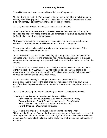7.1 - All Drivers must wear racing uniforms that are SFI approved.

7.2 - No driver may enter his/her racecar onto the track without being full strapped in wearing all safety equipment. The car will be kicked off the track immediately, if there is no compliance, disciplinary actions will be issued by officials.

7.3 - Any driver causing a restart will go to the back of the field.

7.4 - On a restart – cars will line up in the Delaware Restart: lead car in front – 2nd place car has choice of inside or outside and remainder of field will be double file with the fourth place car always started inside.

7.5 Unless three restarts have occurred consecutively or three quarters of the race has been completed, then cars will be required to line up in single file.

7.5 - Anyone judged to have **deliberately** pushed or bumped another car off the track may be disqualified from that race.

7.6 - In the event of a crash on the white flag lap during a heat race, the race will be completed under the yellow and checkered flag. Yellow flag rules apply. In a feature race there will be one attempt at a green-white checkered finish with discretion from the flagman.

7.7 - There will be no repair work done on the track under any circumstances. In the event of a crash, the YELLOW or RED flag will be dropped. Any car going to do repair work will go tailback upon returning. Officials reserve the right in inspect a car for possible damage during any caution or red.

7.8 - On a weekly race night, during the feature races, He/she will be given 2 pace laps to return to the track after the lineup is set and must start at the rear of the field. Repairs are allowed in the heats, but once the lineup is set, the race will start.

7.9 - Anyone disputing the restart lineup may be moved to the back of the field.

7.10 - Any driver deemed to have jumped the start will be **First Offence** *- Issued a Warning (A caution may restart the race)* **Second Offence** - *Back 1 Position on a restart or 1 Pay Position* **Third Offence** – *Put to Tail on a restart or Start Pay Only* **Fourth Offence** *– Disqualified from Race*

7.11 - Who is responsible for a caution will be determined by the Track Official and the Flagman. If neither had seen the incident, a no fault caution is issued. If it is thought that both or more drivers are at fault, then all responsible drivers will move to the back. Any single fault will move to the back. This shall include the first caution of any race.